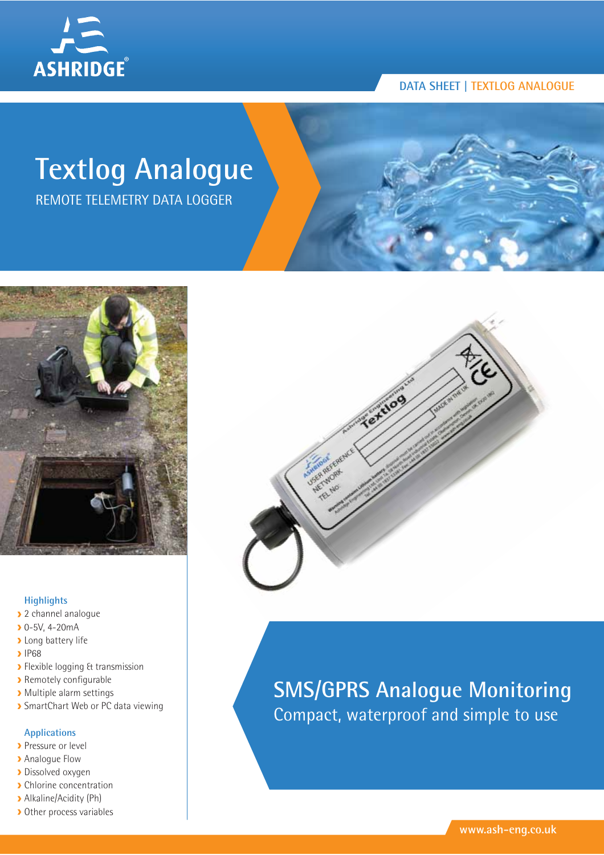

## **Textlog Analogue**

REMOTE TELEMETRY DATA LOGGER



#### **Highlights**

- > 2 channel analogue
- 0-5V, 4-20mA
- **Long battery life**
- > IP68
- **>** Flexible logging & transmission
- Remotely configurable
- Multiple alarm settings
- **>** SmartChart Web or PC data viewing

#### **Applications**

- **Pressure or level**
- **Analogue Flow**
- **Dissolved oxygen**
- Chlorine concentration
- Alkaline/Acidity (Ph)
- > Other process variables



### **SMS/GPRS Analogue Monitoring** Compact, waterproof and simple to use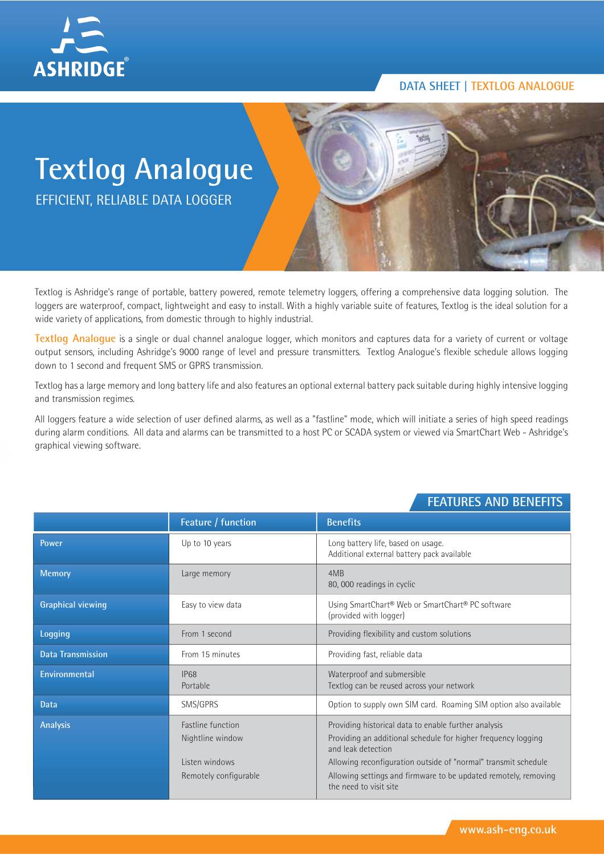

# **Textlog Analogue** EFFICIENT, RELIABLE DATA LOGGER

Textlog is Ashridge's range of portable, battery powered, remote telemetry loggers, offering a comprehensive data logging solution. The loggers are waterproof, compact, lightweight and easy to install. With a highly variable suite of features, Textlog is the ideal solution for a wide variety of applications, from domestic through to highly industrial.

**Textlog Analogue** is a single or dual channel analogue logger, which monitors and captures data for a variety of current or voltage output sensors, including Ashridge's 9000 range of level and pressure transmitters. Textlog Analogue's flexible schedule allows logging down to 1 second and frequent SMS or GPRS transmission.

Textlog has a large memory and long battery life and also features an optional external battery pack suitable during highly intensive logging and transmission regimes.

All loggers feature a wide selection of user defined alarms, as well as a "fastline" mode, which will initiate a series of high speed readings during alarm conditions. All data and alarms can be transmitted to a host PC or SCADA system or viewed via SmartChart Web - Ashridge's graphical viewing software.

### **FEATURES AND BENEFITS**

|                          | Feature / function                                                                      | <b>Benefits</b>                                                                                                                                                                                                                                                                                            |
|--------------------------|-----------------------------------------------------------------------------------------|------------------------------------------------------------------------------------------------------------------------------------------------------------------------------------------------------------------------------------------------------------------------------------------------------------|
| Power                    | Up to 10 years                                                                          | Long battery life, based on usage.<br>Additional external battery pack available                                                                                                                                                                                                                           |
| <b>Memory</b>            | Large memory                                                                            | 4MB<br>80, 000 readings in cyclic                                                                                                                                                                                                                                                                          |
| <b>Graphical viewing</b> | Easy to view data                                                                       | Using SmartChart® Web or SmartChart® PC software<br>(provided with logger)                                                                                                                                                                                                                                 |
| <b>Logging</b>           | From 1 second                                                                           | Providing flexibility and custom solutions                                                                                                                                                                                                                                                                 |
| <b>Data Transmission</b> | From 15 minutes                                                                         | Providing fast, reliable data                                                                                                                                                                                                                                                                              |
| Environmental            | <b>IP68</b><br>Portable                                                                 | Waterproof and submersible<br>Textlog can be reused across your network                                                                                                                                                                                                                                    |
| Data                     | SMS/GPRS                                                                                | Option to supply own SIM card. Roaming SIM option also available                                                                                                                                                                                                                                           |
| <b>Analysis</b>          | <b>Fastline function</b><br>Nightline window<br>Listen windows<br>Remotely configurable | Providing historical data to enable further analysis<br>Providing an additional schedule for higher frequency logging<br>and leak detection<br>Allowing reconfiguration outside of "normal" transmit schedule<br>Allowing settings and firmware to be updated remotely, removing<br>the need to visit site |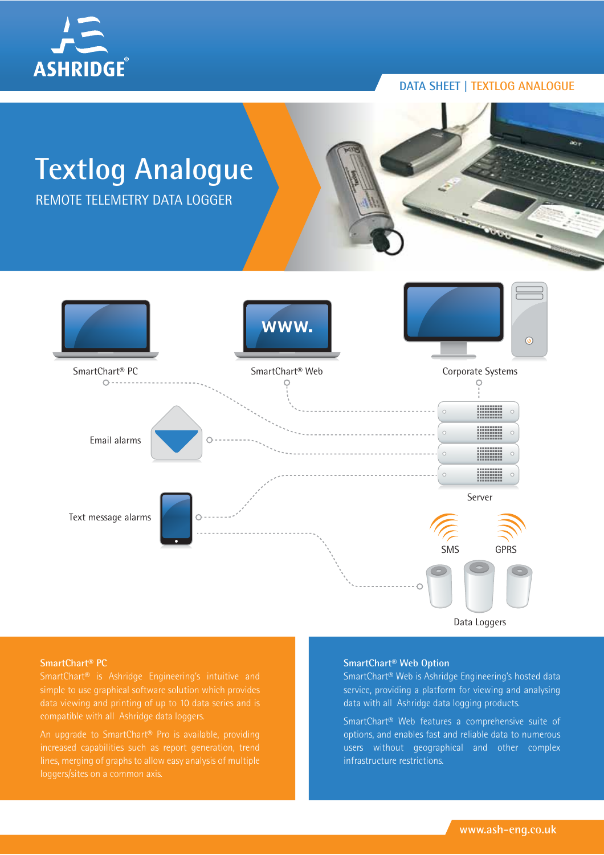



Data Loggers

#### **SmartChart® PC**

An upgrade to SmartChart® Pro is available, providing

#### **SmartChart® Web Option**

SmartChart® Web is Ashridge Engineering's hosted data service, providing a platform for viewing and analysing data with all Ashridge data logging products.

SmartChart® Web features a comprehensive suite of options, and enables fast and reliable data to numerous users without geographical and other complex infrastructure restrictions.